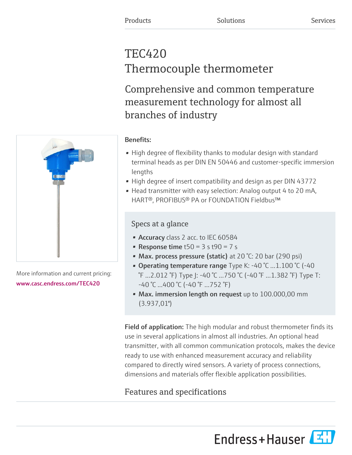# TEC420 Thermocouple thermometer

Comprehensive and common temperature measurement technology for almost all branches of industry



More information and current pricing: [www.casc.endress.com/TEC420](https://www.casc.endress.com/TEC420)

# Benefits:

- High degree of flexibility thanks to modular design with standard terminal heads as per DIN EN 50446 and customer-specific immersion lengths
- High degree of insert compatibility and design as per DIN 43772
- Head transmitter with easy selection: Analog output 4 to 20 mA, HART®, PROFIBUS® PA or FOUNDATION Fieldbus™

# Specs at a glance

- Accuracy class 2 acc. to IEC 60584
- Response time  $t50 = 3 s t90 = 7 s$
- Max. process pressure (static) at 20 °C: 20 bar (290 psi)
- Operating temperature range Type K:  $-40$  °C  $...1.100$  °C ( $-40$ ) °F ...2.012 °F) Type J: -40 °C ...750 °C (-40 °F ...1.382 °F) Type T: -40 °C ...400 °C (-40 °F ...752 °F)
- Max. immersion length on request up to 100.000,00 mm  $(3.937, 01")$

Field of application: The high modular and robust thermometer finds its use in several applications in almost all industries. An optional head transmitter, with all common communication protocols, makes the device ready to use with enhanced measurement accuracy and reliability compared to directly wired sensors. A variety of process connections, dimensions and materials offer flexible application possibilities.

# Features and specifications

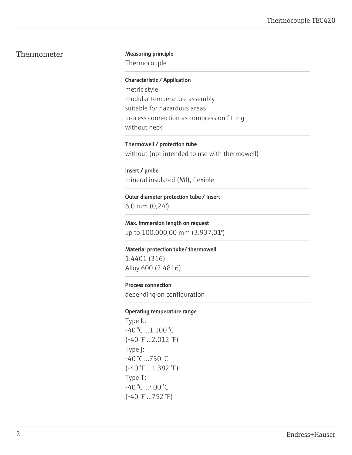#### Thermometer Measuring principle

Thermocouple

Characteristic / Application

metric style modular temperature assembly suitable for hazardous areas process connection as compression fitting without neck

Thermowell / protection tube without (not intended to use with thermowell)

Insert / probe mineral insulated (MI), flexible

Outer diameter protection tube / Insert 6,0 mm (0,24'')

Max. immersion length on request up to 100.000,00 mm (3.937,01")

Material protection tube/ thermowell 1.4401 (316) Alloy 600 (2.4816)

Process connection

depending on configuration

#### Operating temperature range

Type K: -40 °C ...1.100 °C (-40 °F ...2.012 °F) Type J: -40 °C ...750 °C (-40 °F ...1.382 °F) Type T: -40 °C ...400 °C (-40 °F ...752 °F)